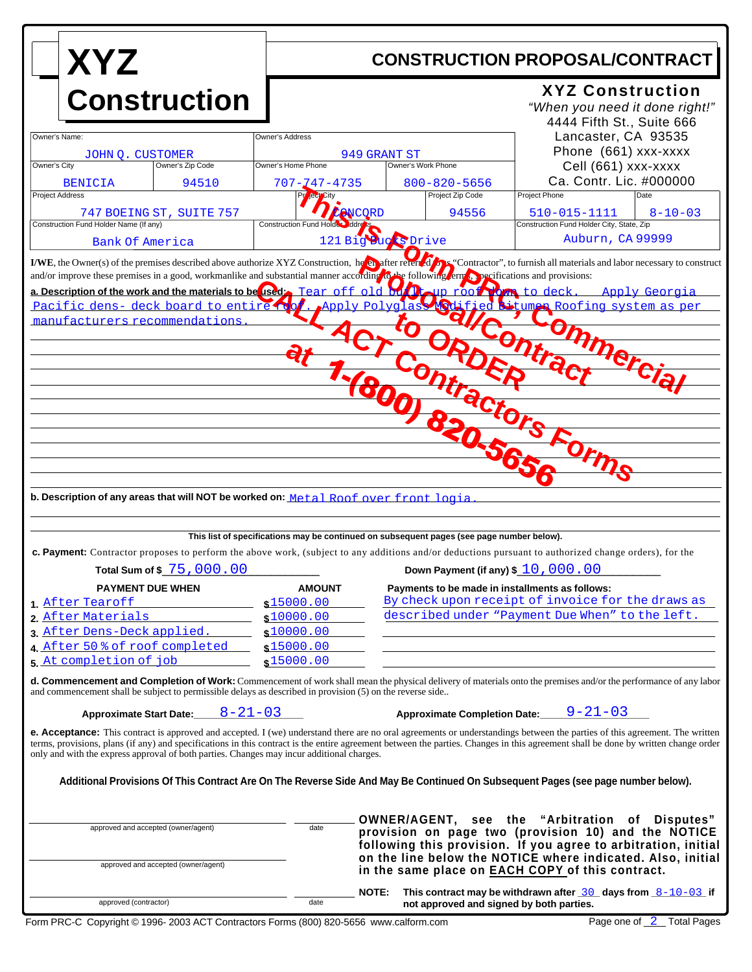| <b>XYZ</b>                                                                                                                                                                                                                                                                                                                                                                                                                                                                                                | <b>CONSTRUCTION PROPOSAL/CONTRACT</b>                              |                                                                                                                                   |                                                                                                                                                                                                                                                                                                   |
|-----------------------------------------------------------------------------------------------------------------------------------------------------------------------------------------------------------------------------------------------------------------------------------------------------------------------------------------------------------------------------------------------------------------------------------------------------------------------------------------------------------|--------------------------------------------------------------------|-----------------------------------------------------------------------------------------------------------------------------------|---------------------------------------------------------------------------------------------------------------------------------------------------------------------------------------------------------------------------------------------------------------------------------------------------|
| <b>Construction</b>                                                                                                                                                                                                                                                                                                                                                                                                                                                                                       |                                                                    |                                                                                                                                   | <b>XYZ Construction</b><br>"When you need it done right!"<br>4444 Fifth St., Suite 666                                                                                                                                                                                                            |
| Owner's Name:                                                                                                                                                                                                                                                                                                                                                                                                                                                                                             | Owner's Address                                                    | 949 GRANT ST                                                                                                                      | Lancaster, CA 93535<br>Phone (661) xxx-xxxx                                                                                                                                                                                                                                                       |
| JOHN Q. CUSTOMER<br>Owner's City<br>Owner's Zip Code                                                                                                                                                                                                                                                                                                                                                                                                                                                      | Owner's Home Phone                                                 | Owner's Work Phone                                                                                                                | Cell (661) xxx-xxxx                                                                                                                                                                                                                                                                               |
| 94510<br><b>BENICIA</b><br><b>Project Address</b>                                                                                                                                                                                                                                                                                                                                                                                                                                                         | 707- <mark>7</mark> 47-4735<br>leul                                | $800 - 820 - 5656$<br>Project Zip Code                                                                                            | Ca. Contr. Lic. #000000<br>Project Phone<br>Date                                                                                                                                                                                                                                                  |
| 747 BOEING ST, SUITE 757<br>Construction Fund Holder Name (If any)                                                                                                                                                                                                                                                                                                                                                                                                                                        | Construction Fund Holder Iddress                                   | 94556<br><b>ANCQRD</b>                                                                                                            | 510-015-1111<br>$8 - 10 - 03$<br>Construction Fund Holder City, State, Zip                                                                                                                                                                                                                        |
| Bank Of America                                                                                                                                                                                                                                                                                                                                                                                                                                                                                           |                                                                    | 121 Big Bucks Drive                                                                                                               | Auburn, CA 99999                                                                                                                                                                                                                                                                                  |
| manufacturers recommendations<br>b. Description of any areas that will NOT be worked on: Metal Roof over front logia                                                                                                                                                                                                                                                                                                                                                                                      |                                                                    | $t_{\mathbf{O}_{\mathcal{A}}}$<br>180<br>820                                                                                      | allcontral<br>onmercial<br>Itractors Forms                                                                                                                                                                                                                                                        |
| <b>c. Payment:</b> Contractor proposes to perform the above work, (subject to any additions and/or deductions pursuant to authorized change orders), for the<br>Total Sum of \$ 75,000,00                                                                                                                                                                                                                                                                                                                 |                                                                    | This list of specifications may be continued on subsequent pages (see page number below).<br>Down Payment (if any) \$ 10, 000, 00 |                                                                                                                                                                                                                                                                                                   |
| <b>PAYMENT DUE WHEN</b>                                                                                                                                                                                                                                                                                                                                                                                                                                                                                   | <b>AMOUNT</b>                                                      | Payments to be made in installments as follows:                                                                                   |                                                                                                                                                                                                                                                                                                   |
| 1 After Tearoff<br>2. After Materials<br>3. After Dens-Deck applied.<br>4 After 50 % of roof completed<br>5. At completion of job                                                                                                                                                                                                                                                                                                                                                                         | \$15000.00<br>\$10000.00<br>\$10000.00<br>\$15000.00<br>\$15000.00 |                                                                                                                                   | By check upon receipt of invoice for the draws as<br>described under "Payment Due When" to the left.                                                                                                                                                                                              |
| <b>d. Commencement and Completion of Work:</b> Commencement of work shall mean the physical delivery of materials onto the premises and/or the performance of any labor<br>and commencement shall be subject to permissible delays as described in provision (5) on the reverse side                                                                                                                                                                                                                      |                                                                    |                                                                                                                                   |                                                                                                                                                                                                                                                                                                   |
| Approximate Start Date: $8-21-03$<br><b>e. Acceptance:</b> This contract is approved and accepted. I (we) understand there are no oral agreements or understandings between the parties of this agreement. The written<br>terms, provisions, plans (if any) and specifications in this contract is the entire agreement between the parties. Changes in this agreement shall be done by written change order<br>only and with the express approval of both parties. Changes may incur additional charges. |                                                                    |                                                                                                                                   | Approximate Completion Date: $9-21-03$                                                                                                                                                                                                                                                            |
| Additional Provisions Of This Contract Are On The Reverse Side And May Be Continued On Subsequent Pages (see page number below).                                                                                                                                                                                                                                                                                                                                                                          |                                                                    |                                                                                                                                   |                                                                                                                                                                                                                                                                                                   |
| approved and accepted (owner/agent)<br>approved and accepted (owner/agent)                                                                                                                                                                                                                                                                                                                                                                                                                                | date                                                               |                                                                                                                                   | OWNER/AGENT, see the "Arbitration of Disputes"<br>provision on page two (provision 10) and the NOTICE<br>following this provision. If you agree to arbitration, initial<br>on the line below the NOTICE where indicated. Also, initial<br>in the same place on <b>EACH COPY</b> of this contract. |
| approved (contractor)                                                                                                                                                                                                                                                                                                                                                                                                                                                                                     | date                                                               | <b>NOTE:</b><br>not approved and signed by both parties.                                                                          | This contract may be withdrawn after $\frac{30}{20}$ days from $\frac{8-10-03}{2}$ if                                                                                                                                                                                                             |